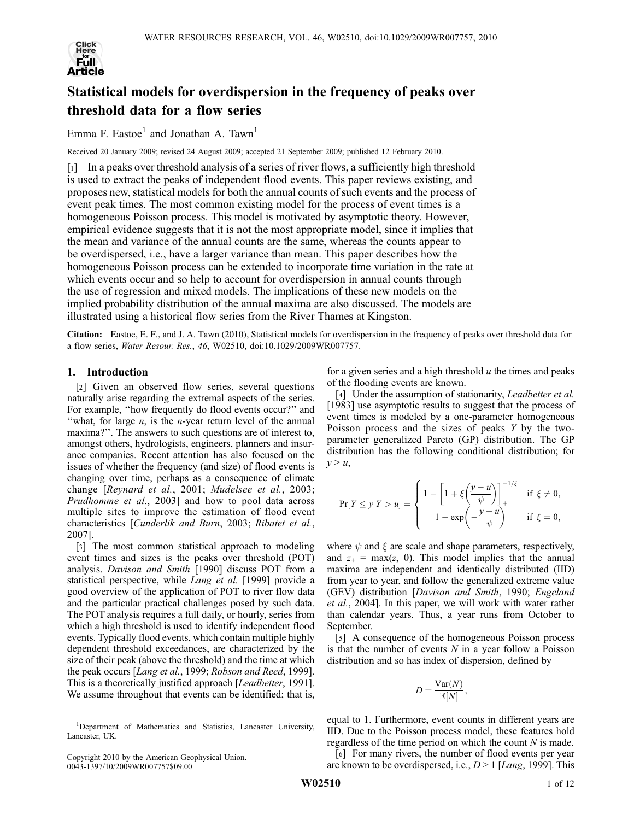

# Statistical models for overdispersion in the frequency of peaks over threshold data for a flow series

Emma F. Eastoe<sup>1</sup> and Jonathan A. Tawn<sup>1</sup>

Received 20 January 2009; revised 24 August 2009; accepted 21 September 2009; published 12 February 2010.

[1] In a peaks over threshold analysis of a series of river flows, a sufficiently high threshold is used to extract the peaks of independent flood events. This paper reviews existing, and proposes new, statistical models for both the annual counts of such events and the process of event peak times. The most common existing model for the process of event times is a homogeneous Poisson process. This model is motivated by asymptotic theory. However, empirical evidence suggests that it is not the most appropriate model, since it implies that the mean and variance of the annual counts are the same, whereas the counts appear to be overdispersed, i.e., have a larger variance than mean. This paper describes how the homogeneous Poisson process can be extended to incorporate time variation in the rate at which events occur and so help to account for overdispersion in annual counts through the use of regression and mixed models. The implications of these new models on the implied probability distribution of the annual maxima are also discussed. The models are illustrated using a historical flow series from the River Thames at Kingston.

Citation: Eastoe, E. F., and J. A. Tawn (2010), Statistical models for overdispersion in the frequency of peaks over threshold data for a flow series, Water Resour. Res., 46, W02510, doi:10.1029/2009WR007757.

## 1. Introduction

[2] Given an observed flow series, several questions naturally arise regarding the extremal aspects of the series. For example, ''how frequently do flood events occur?'' and "what, for large  $n$ , is the  $n$ -year return level of the annual maxima?''. The answers to such questions are of interest to, amongst others, hydrologists, engineers, planners and insurance companies. Recent attention has also focused on the issues of whether the frequency (and size) of flood events is changing over time, perhaps as a consequence of climate change [Reynard et al., 2001; Mudelsee et al., 2003; Prudhomme et al., 2003] and how to pool data across multiple sites to improve the estimation of flood event characteristics [Cunderlik and Burn, 2003; Ribatet et al., 2007].

[3] The most common statistical approach to modeling event times and sizes is the peaks over threshold (POT) analysis. Davison and Smith [1990] discuss POT from a statistical perspective, while Lang et al. [1999] provide a good overview of the application of POT to river flow data and the particular practical challenges posed by such data. The POT analysis requires a full daily, or hourly, series from which a high threshold is used to identify independent flood events. Typically flood events, which contain multiple highly dependent threshold exceedances, are characterized by the size of their peak (above the threshold) and the time at which the peak occurs [Lang et al., 1999; Robson and Reed, 1999]. This is a theoretically justified approach [Leadbetter, 1991]. We assume throughout that events can be identified; that is,

for a given series and a high threshold  $u$  the times and peaks of the flooding events are known.

[4] Under the assumption of stationarity, *Leadbetter et al.* [1983] use asymptotic results to suggest that the process of event times is modeled by a one-parameter homogeneous Poisson process and the sizes of peaks Y by the twoparameter generalized Pareto (GP) distribution. The GP distribution has the following conditional distribution; for  $y > u$ ,

$$
\Pr[Y \le y | Y > u] = \begin{cases} 1 - \left[1 + \xi \left(\frac{y - u}{\psi}\right)\right]_+^{-1/\xi} & \text{if } \xi \neq 0, \\ 1 - \exp\left(-\frac{y - u}{\psi}\right) & \text{if } \xi = 0, \end{cases}
$$

where  $\psi$  and  $\xi$  are scale and shape parameters, respectively, and  $z_+$  = max(z, 0). This model implies that the annual maxima are independent and identically distributed (IID) from year to year, and follow the generalized extreme value (GEV) distribution [Davison and Smith, 1990; Engeland et al., 2004]. In this paper, we will work with water rather than calendar years. Thus, a year runs from October to September.

[5] A consequence of the homogeneous Poisson process is that the number of events  $N$  in a year follow a Poisson distribution and so has index of dispersion, defined by

$$
D = \frac{\text{Var}(N)}{\mathbb{E}[N]},
$$

equal to 1. Furthermore, event counts in different years are IID. Due to the Poisson process model, these features hold regardless of the time period on which the count  $N$  is made.

[6] For many rivers, the number of flood events per year are known to be overdispersed, i.e.,  $D > 1$  [Lang, 1999]. This

<sup>&</sup>lt;sup>1</sup>Department of Mathematics and Statistics, Lancaster University, Lancaster, UK.

Copyright 2010 by the American Geophysical Union. 0043-1397/10/2009WR007757\$09.00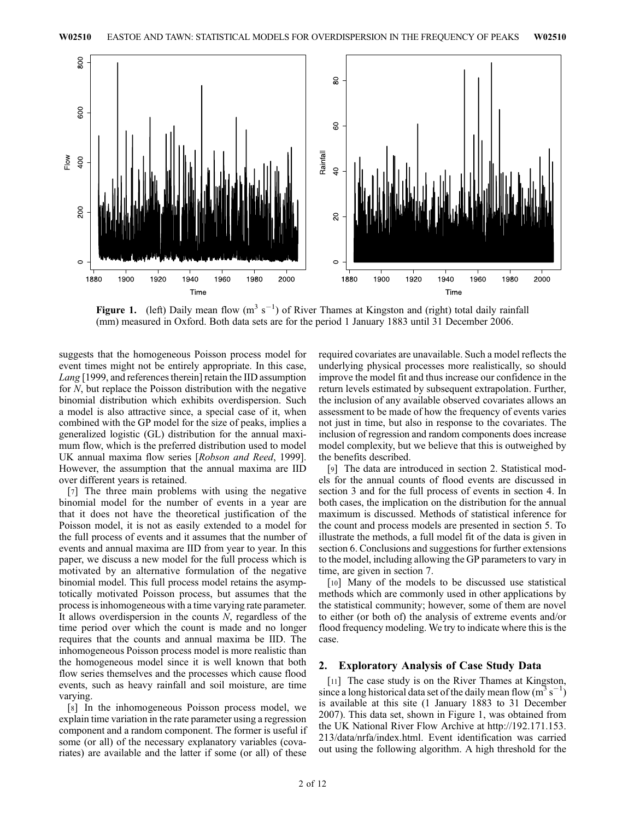

Figure 1. (left) Daily mean flow  $(m^3 s^{-1})$  of River Thames at Kingston and (right) total daily rainfall (mm) measured in Oxford. Both data sets are for the period 1 January 1883 until 31 December 2006.

suggests that the homogeneous Poisson process model for event times might not be entirely appropriate. In this case, Lang [1999, and references therein] retain the IID assumption for N, but replace the Poisson distribution with the negative binomial distribution which exhibits overdispersion. Such a model is also attractive since, a special case of it, when combined with the GP model for the size of peaks, implies a generalized logistic (GL) distribution for the annual maximum flow, which is the preferred distribution used to model UK annual maxima flow series [Robson and Reed, 1999]. However, the assumption that the annual maxima are IID over different years is retained.

[7] The three main problems with using the negative binomial model for the number of events in a year are that it does not have the theoretical justification of the Poisson model, it is not as easily extended to a model for the full process of events and it assumes that the number of events and annual maxima are IID from year to year. In this paper, we discuss a new model for the full process which is motivated by an alternative formulation of the negative binomial model. This full process model retains the asymptotically motivated Poisson process, but assumes that the process is inhomogeneous with a time varying rate parameter. It allows overdispersion in the counts  $N$ , regardless of the time period over which the count is made and no longer requires that the counts and annual maxima be IID. The inhomogeneous Poisson process model is more realistic than the homogeneous model since it is well known that both flow series themselves and the processes which cause flood events, such as heavy rainfall and soil moisture, are time varying.

[8] In the inhomogeneous Poisson process model, we explain time variation in the rate parameter using a regression component and a random component. The former is useful if some (or all) of the necessary explanatory variables (covariates) are available and the latter if some (or all) of these

required covariates are unavailable. Such a model reflects the underlying physical processes more realistically, so should improve the model fit and thus increase our confidence in the return levels estimated by subsequent extrapolation. Further, the inclusion of any available observed covariates allows an assessment to be made of how the frequency of events varies not just in time, but also in response to the covariates. The inclusion of regression and random components does increase model complexity, but we believe that this is outweighed by the benefits described.

[9] The data are introduced in section 2. Statistical models for the annual counts of flood events are discussed in section 3 and for the full process of events in section 4. In both cases, the implication on the distribution for the annual maximum is discussed. Methods of statistical inference for the count and process models are presented in section 5. To illustrate the methods, a full model fit of the data is given in section 6. Conclusions and suggestions for further extensions to the model, including allowing the GP parameters to vary in time, are given in section 7.

[10] Many of the models to be discussed use statistical methods which are commonly used in other applications by the statistical community; however, some of them are novel to either (or both of) the analysis of extreme events and/or flood frequency modeling. We try to indicate where this is the case.

## 2. Exploratory Analysis of Case Study Data

[11] The case study is on the River Thames at Kingston, since a long historical data set of the daily mean flow  $(m^3 s^{-1})$ is available at this site (1 January 1883 to 31 December 2007). This data set, shown in Figure 1, was obtained from the UK National River Flow Archive at http://192.171.153. 213/data/nrfa/index.html. Event identification was carried out using the following algorithm. A high threshold for the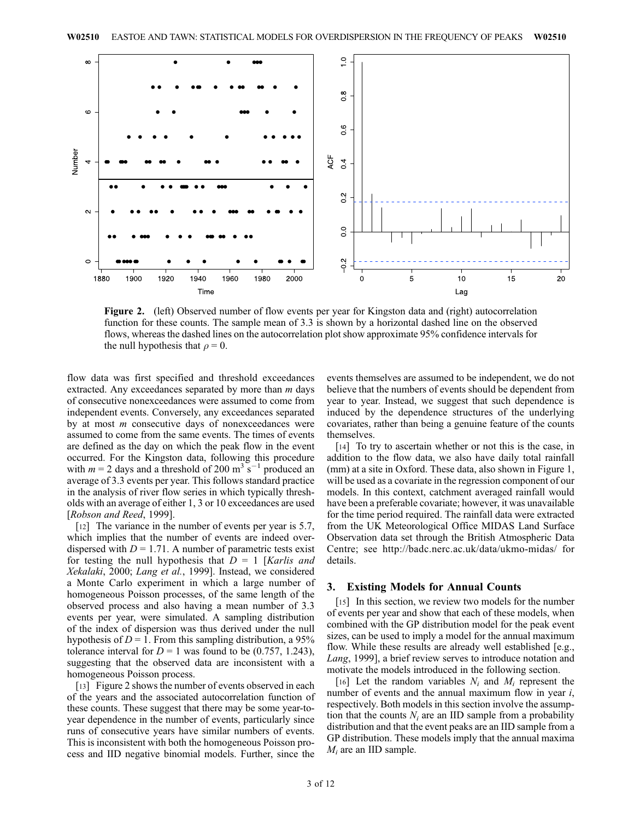

Figure 2. (left) Observed number of flow events per year for Kingston data and (right) autocorrelation function for these counts. The sample mean of 3.3 is shown by a horizontal dashed line on the observed flows, whereas the dashed lines on the autocorrelation plot show approximate 95% confidence intervals for the null hypothesis that  $\rho = 0$ .

flow data was first specified and threshold exceedances extracted. Any exceedances separated by more than  $m$  days of consecutive nonexceedances were assumed to come from independent events. Conversely, any exceedances separated by at most *m* consecutive days of nonexceedances were assumed to come from the same events. The times of events are defined as the day on which the peak flow in the event occurred. For the Kingston data, following this procedure with  $m = 2$  days and a threshold of 200 m<sup>3</sup> s<sup>-1</sup> produced an average of 3.3 events per year. This follows standard practice in the analysis of river flow series in which typically thresholds with an average of either 1, 3 or 10 exceedances are used [Robson and Reed, 1999].

[12] The variance in the number of events per year is 5.7, which implies that the number of events are indeed overdispersed with  $D = 1.71$ . A number of parametric tests exist for testing the null hypothesis that  $D = 1$  [Karlis and Xekalaki, 2000; Lang et al., 1999]. Instead, we considered a Monte Carlo experiment in which a large number of homogeneous Poisson processes, of the same length of the observed process and also having a mean number of 3.3 events per year, were simulated. A sampling distribution of the index of dispersion was thus derived under the null hypothesis of  $D = 1$ . From this sampling distribution, a 95% tolerance interval for  $D = 1$  was found to be (0.757, 1.243), suggesting that the observed data are inconsistent with a homogeneous Poisson process.

[13] Figure 2 shows the number of events observed in each of the years and the associated autocorrelation function of these counts. These suggest that there may be some year-toyear dependence in the number of events, particularly since runs of consecutive years have similar numbers of events. This is inconsistent with both the homogeneous Poisson process and IID negative binomial models. Further, since the

events themselves are assumed to be independent, we do not believe that the numbers of events should be dependent from year to year. Instead, we suggest that such dependence is induced by the dependence structures of the underlying covariates, rather than being a genuine feature of the counts themselves.

[14] To try to ascertain whether or not this is the case, in addition to the flow data, we also have daily total rainfall (mm) at a site in Oxford. These data, also shown in Figure 1, will be used as a covariate in the regression component of our models. In this context, catchment averaged rainfall would have been a preferable covariate; however, it was unavailable for the time period required. The rainfall data were extracted from the UK Meteorological Office MIDAS Land Surface Observation data set through the British Atmospheric Data Centre; see http://badc.nerc.ac.uk/data/ukmo-midas/ for details.

## 3. Existing Models for Annual Counts

[15] In this section, we review two models for the number of events per year and show that each of these models, when combined with the GP distribution model for the peak event sizes, can be used to imply a model for the annual maximum flow. While these results are already well established [e.g., Lang, 1999], a brief review serves to introduce notation and motivate the models introduced in the following section.

[16] Let the random variables  $N_i$  and  $M_i$  represent the number of events and the annual maximum flow in year  $i$ , respectively. Both models in this section involve the assumption that the counts  $N_i$  are an IID sample from a probability distribution and that the event peaks are an IID sample from a GP distribution. These models imply that the annual maxima  $M_i$  are an IID sample.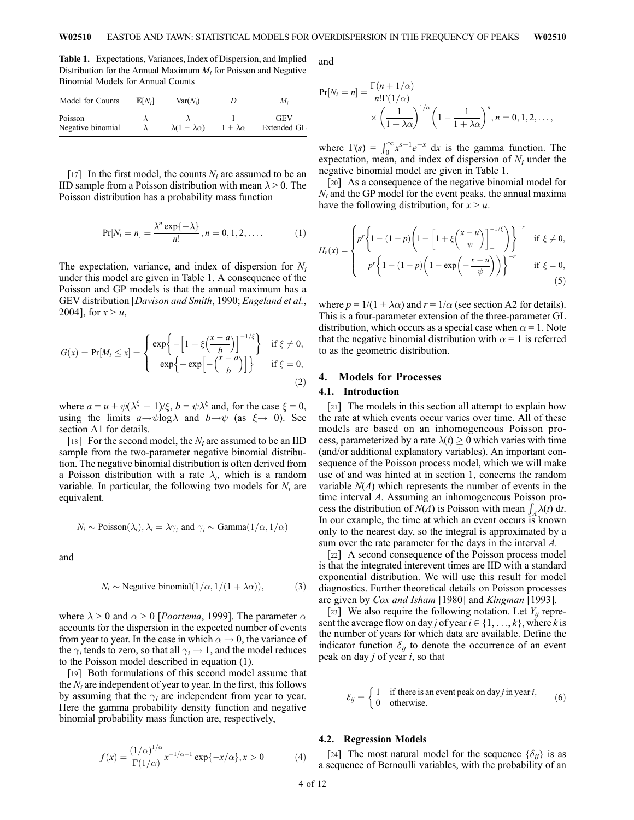Table 1. Expectations, Variances, Index of Dispersion, and Implied Distribution for the Annual Maximum  $M_i$  for Poisson and Negative Binomial Models for Annual Counts

| Model for Counts             | $E[N_i]$  | $Var(N_i)$                   | $\prime$             | $M_i$                     |
|------------------------------|-----------|------------------------------|----------------------|---------------------------|
| Poisson<br>Negative binomial | $\lambda$ | $\lambda(1 + \lambda\alpha)$ | $1 + \lambda \alpha$ | <b>GEV</b><br>Extended GL |

[17] In the first model, the counts  $N_i$  are assumed to be an IID sample from a Poisson distribution with mean  $\lambda > 0$ . The Poisson distribution has a probability mass function

$$
Pr[N_i = n] = \frac{\lambda^n \exp\{-\lambda\}}{n!}, n = 0, 1, 2, .... \tag{1}
$$

The expectation, variance, and index of dispersion for  $N_i$ under this model are given in Table 1. A consequence of the Poisson and GP models is that the annual maximum has a GEV distribution [Davison and Smith, 1990; Engeland et al., 2004], for  $x > u$ ,

$$
G(x) = \Pr[M_i \le x] = \begin{cases} \exp\left\{-\left[1 + \xi\left(\frac{x-a}{b}\right)\right]^{-1/\xi}\right\} & \text{if } \xi \ne 0, \\ \exp\left\{-\exp\left[-\left(\frac{x-a}{b}\right)\right]\right\} & \text{if } \xi = 0, \end{cases}
$$
\n(2)

where  $a = u + \psi(\lambda^{\xi} - 1)/\xi$ ,  $b = \psi \lambda^{\xi}$  and, for the case  $\xi = 0$ , using the limits  $a \rightarrow \psi \log \lambda$  and  $b \rightarrow \psi$  (as  $\xi \rightarrow 0$ ). See section A1 for details.

[18] For the second model, the  $N_i$  are assumed to be an IID sample from the two-parameter negative binomial distribution. The negative binomial distribution is often derived from a Poisson distribution with a rate  $\lambda_i$ , which is a random variable. In particular, the following two models for  $N_i$  are equivalent.

$$
N_i \sim \text{Poisson}(\lambda_i), \lambda_i = \lambda \gamma_i \text{ and } \gamma_i \sim \text{Gamma}(1/\alpha, 1/\alpha)
$$

and

$$
N_i \sim \text{Negative binomial}(1/\alpha, 1/(1 + \lambda \alpha)), \tag{3}
$$

where  $\lambda > 0$  and  $\alpha > 0$  [*Poortema*, 1999]. The parameter  $\alpha$ accounts for the dispersion in the expected number of events from year to year. In the case in which  $\alpha \rightarrow 0$ , the variance of the  $\gamma_i$  tends to zero, so that all  $\gamma_i \rightarrow 1$ , and the model reduces to the Poisson model described in equation (1).

[19] Both formulations of this second model assume that the  $N_i$  are independent of year to year. In the first, this follows by assuming that the  $\gamma_i$  are independent from year to year. Here the gamma probability density function and negative binomial probability mass function are, respectively,

$$
f(x) = \frac{(1/\alpha)^{1/\alpha}}{\Gamma(1/\alpha)} x^{-1/\alpha - 1} \exp\{-x/\alpha\}, x > 0
$$
 (4)

and

$$
Pr[N_i = n] = \frac{\Gamma(n + 1/\alpha)}{n!\Gamma(1/\alpha)} \times \left(\frac{1}{1 + \lambda\alpha}\right)^{1/\alpha} \left(1 - \frac{1}{1 + \lambda\alpha}\right)^n, n = 0, 1, 2, \dots,
$$

where  $\Gamma(s) = \int_0^\infty x^{s-1} e^{-x} dx$  is the gamma function. The expectation, mean, and index of dispersion of  $N_i$  under the negative binomial model are given in Table 1.

[20] As a consequence of the negative binomial model for  $N_i$  and the GP model for the event peaks, the annual maxima have the following distribution, for  $x > u$ .

$$
H_r(x) = \begin{cases} p^r \left\{ 1 - (1-p) \left( 1 - \left[ 1 + \xi \left( \frac{x-u}{\psi} \right) \right]_+^{-1/\xi} \right) \right\}^{-r} & \text{if } \xi \neq 0, \\ p^r \left\{ 1 - (1-p) \left( 1 - \exp \left( -\frac{x-u}{\psi} \right) \right) \right\}^{-r} & \text{if } \xi = 0, \end{cases}
$$

$$
\begin{pmatrix} P & P & P \\ P & P & P \end{pmatrix} \begin{pmatrix} P & P & P \\ P & P & P \end{pmatrix} \begin{pmatrix} P & P & P \\ P & P & P \end{pmatrix} \tag{5}
$$

where  $p = 1/(1 + \lambda \alpha)$  and  $r = 1/\alpha$  (see section A2 for details). This is a four-parameter extension of the three-parameter GL distribution, which occurs as a special case when  $\alpha = 1$ . Note that the negative binomial distribution with  $\alpha = 1$  is referred to as the geometric distribution.

## 4. Models for Processes

## 4.1. Introduction

[21] The models in this section all attempt to explain how the rate at which events occur varies over time. All of these models are based on an inhomogeneous Poisson process, parameterized by a rate  $\lambda(t) \geq 0$  which varies with time (and/or additional explanatory variables). An important consequence of the Poisson process model, which we will make use of and was hinted at in section 1, concerns the random variable  $N(A)$  which represents the number of events in the time interval A. Assuming an inhomogeneous Poisson prothe met val A. Assuming an impompeneous 1 of process the distribution of  $N(A)$  is Poisson with mean  $\int_A \lambda(t) dt$ . In our example, the time at which an event occurs is known only to the nearest day, so the integral is approximated by a sum over the rate parameter for the days in the interval A.

[22] A second consequence of the Poisson process model is that the integrated interevent times are IID with a standard exponential distribution. We will use this result for model diagnostics. Further theoretical details on Poisson processes are given by *Cox and Isham* [1980] and *Kingman* [1993].

[23] We also require the following notation. Let  $Y_{ij}$  represent the average flow on day *j* of year  $i \in \{1, ..., k\}$ , where k is the number of years for which data are available. Define the indicator function  $\delta_{ij}$  to denote the occurrence of an event peak on day  $j$  of year  $i$ , so that

$$
\delta_{ij} = \begin{cases} 1 & \text{if there is an event peak on day } j \text{ in year } i, \\ 0 & \text{otherwise.} \end{cases}
$$
 (6)

#### 4.2. Regression Models

[24] The most natural model for the sequence  $\{\delta_{ii}\}\$ is as a sequence of Bernoulli variables, with the probability of an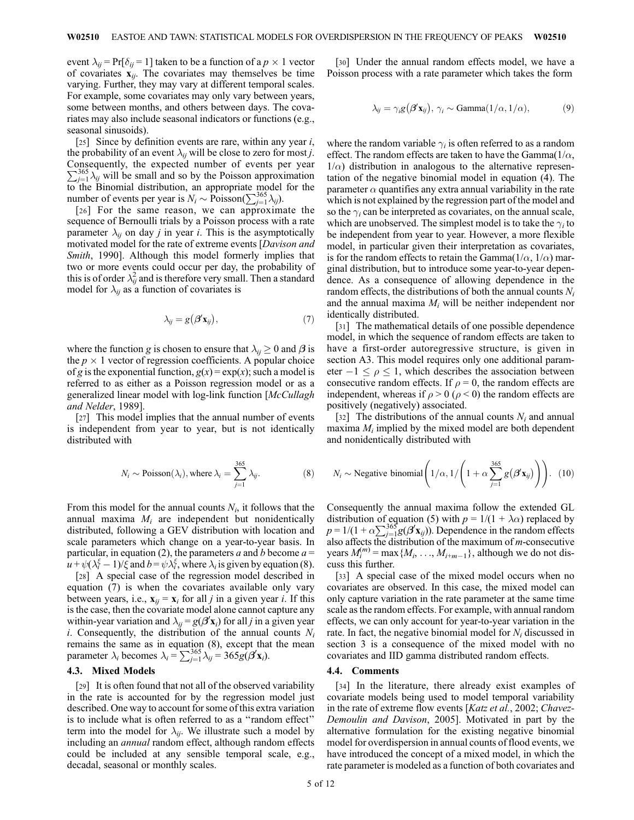event  $\lambda_{ij} = Pr[\delta_{ij} = 1]$  taken to be a function of a  $p \times 1$  vector of covariates  $x_{ij}$ . The covariates may themselves be time varying. Further, they may vary at different temporal scales. For example, some covariates may only vary between years, some between months, and others between days. The covariates may also include seasonal indicators or functions (e.g., seasonal sinusoids).

[25] Since by definition events are rare, within any year  $i$ , the probability of an event  $\lambda_{ij}$  will be close to zero for most j. Consequently, the expected number of events per year  $\sum_{j=1}^{365} \lambda_{ij}$  will be small and so by the Poisson approximation to the Binomial distribution, an appropriate model for the number of events per year is  $N_i \sim \text{Poisson}(\sum_{j=1}^{365} \lambda_{ij})$ .

[26] For the same reason, we can approximate the sequence of Bernoulli trials by a Poisson process with a rate parameter  $\lambda_{ij}$  on day j in year i. This is the asymptotically motivated model for the rate of extreme events [Davison and Smith, 1990]. Although this model formerly implies that two or more events could occur per day, the probability of this is of order  $\lambda_{ij}^2$  and is therefore very small. Then a standard model for  $\lambda_{ij}$  as a function of covariates is

$$
\lambda_{ij} = g(\beta' \mathbf{x}_{ij}),\tag{7}
$$

where the function g is chosen to ensure that  $\lambda_{ij} \geq 0$  and  $\beta$  is the  $p \times 1$  vector of regression coefficients. A popular choice of g is the exponential function,  $g(x) = \exp(x)$ ; such a model is referred to as either as a Poisson regression model or as a generalized linear model with log-link function [McCullagh and Nelder, 1989].

[27] This model implies that the annual number of events is independent from year to year, but is not identically distributed with

$$
N_i \sim \text{Poisson}(\lambda_i), \text{where } \lambda_i = \sum_{j=1}^{365} \lambda_{ij}.
$$
 (8)

From this model for the annual counts  $N_i$ , it follows that the annual maxima  $M_i$  are independent but nonidentically distributed, following a GEV distribution with location and scale parameters which change on a year-to-year basis. In particular, in equation (2), the parameters a and b become  $a =$  $u + \psi(\lambda_i^{\xi} - 1)/\xi$  and  $b = \psi \lambda_i^{\xi}$ , where  $\lambda_i$  is given by equation (8).

[28] A special case of the regression model described in equation (7) is when the covariates available only vary between years, i.e.,  $\mathbf{x}_{ij} = \mathbf{x}_i$  for all j in a given year i. If this is the case, then the covariate model alone cannot capture any within-year variation and  $\lambda_{ij} = g(\beta' \mathbf{x}_i)$  for all j in a given year *i*. Consequently, the distribution of the annual counts  $N_i$ remains the same as in equation (8), except that the mean parameter  $\lambda_i$  becomes  $\lambda_i = \sum_{j=1}^{365} \lambda_{ij} = 365g(\beta' \mathbf{x}_i)$ .

## 4.3. Mixed Models

[29] It is often found that not all of the observed variability in the rate is accounted for by the regression model just described. One way to account for some of this extra variation is to include what is often referred to as a ''random effect'' term into the model for  $\lambda_{ij}$ . We illustrate such a model by including an annual random effect, although random effects could be included at any sensible temporal scale, e.g., decadal, seasonal or monthly scales.

[30] Under the annual random effects model, we have a Poisson process with a rate parameter which takes the form

$$
\lambda_{ij} = \gamma_{i} g(\boldsymbol{\beta}' \mathbf{x}_{ij}), \, \gamma_i \sim \text{Gamma}(1/\alpha, 1/\alpha), \tag{9}
$$

where the random variable  $\gamma_i$  is often referred to as a random effect. The random effects are taken to have the Gamma $(1/\alpha,$  $1/\alpha$ ) distribution in analogous to the alternative representation of the negative binomial model in equation (4). The parameter  $\alpha$  quantifies any extra annual variability in the rate which is not explained by the regression part of the model and so the  $\gamma_i$  can be interpreted as covariates, on the annual scale, which are unobserved. The simplest model is to take the  $\gamma_i$  to be independent from year to year. However, a more flexible model, in particular given their interpretation as covariates, is for the random effects to retain the Gamma $(1/\alpha, 1/\alpha)$  marginal distribution, but to introduce some year-to-year dependence. As a consequence of allowing dependence in the random effects, the distributions of both the annual counts  $N_i$ and the annual maxima  $M_i$  will be neither independent nor identically distributed.

[31] The mathematical details of one possible dependence model, in which the sequence of random effects are taken to have a first-order autoregressive structure, is given in section A3. This model requires only one additional parameter  $-1 \le \rho \le 1$ , which describes the association between consecutive random effects. If  $\rho = 0$ , the random effects are independent, whereas if  $\rho > 0$  ( $\rho < 0$ ) the random effects are positively (negatively) associated.

[32] The distributions of the annual counts  $N_i$  and annual maxima  $M_i$  implied by the mixed model are both dependent and nonidentically distributed with

$$
N_i \sim \text{Negative binomial}\left(1/\alpha, 1/\left(1 + \alpha \sum_{j=1}^{365} g(\beta' \mathbf{x}_{ij})\right)\right). (10)
$$

Consequently the annual maxima follow the extended GL distribution of equation (5) with  $p = 1/(1 + \lambda \alpha)$  replaced by  $p = 1/(1 + \alpha \sum_{j=1}^{365} g(\beta' \mathbf{x}_{ij}))$ . Dependence in the random effects also affects the distribution of the maximum of  $m$ -consecutive years  $M_i^{(m)} = \max\{M_i, \ldots, M_{i+m-1}\}\$ , although we do not discuss this further.

[33] A special case of the mixed model occurs when no covariates are observed. In this case, the mixed model can only capture variation in the rate parameter at the same time scale as the random effects. For example, with annual random effects, we can only account for year-to-year variation in the rate. In fact, the negative binomial model for  $N_i$  discussed in section 3 is a consequence of the mixed model with no covariates and IID gamma distributed random effects.

## 4.4. Comments

[34] In the literature, there already exist examples of covariate models being used to model temporal variability in the rate of extreme flow events [Katz et al., 2002; Chavez-Demoulin and Davison, 2005]. Motivated in part by the alternative formulation for the existing negative binomial model for overdispersion in annual counts of flood events, we have introduced the concept of a mixed model, in which the rate parameter is modeled as a function of both covariates and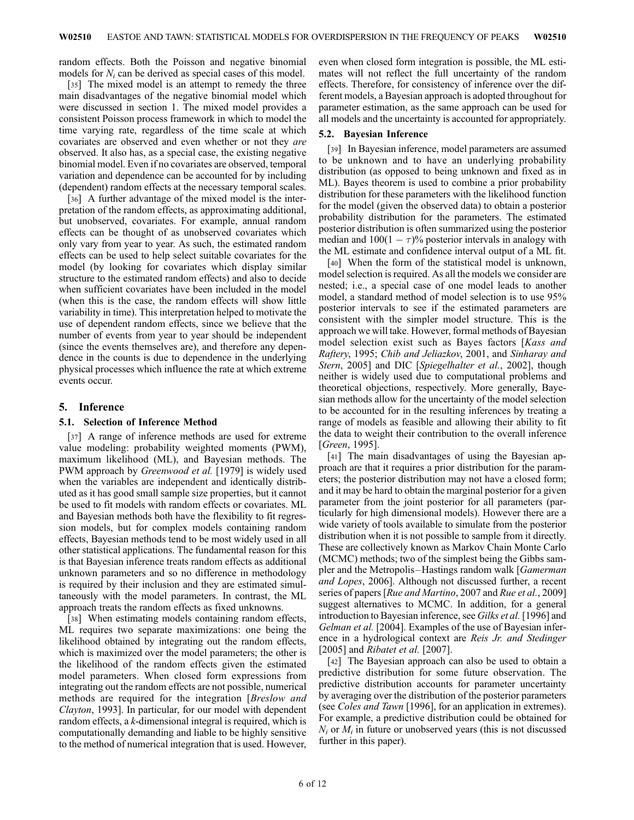random effects. Both the Poisson and negative binomial models for  $N_i$  can be derived as special cases of this model.

[35] The mixed model is an attempt to remedy the three main disadvantages of the negative binomial model which were discussed in section 1. The mixed model provides a consistent Poisson process framework in which to model the time varying rate, regardless of the time scale at which covariates are observed and even whether or not they are observed. It also has, as a special case, the existing negative binomial model. Even if no covariates are observed, temporal variation and dependence can be accounted for by including (dependent) random effects at the necessary temporal scales.

[36] A further advantage of the mixed model is the interpretation of the random effects, as approximating additional, but unobserved, covariates. For example, annual random effects can be thought of as unobserved covariates which only vary from year to year. As such, the estimated random effects can be used to help select suitable covariates for the model (by looking for covariates which display similar structure to the estimated random effects) and also to decide when sufficient covariates have been included in the model (when this is the case, the random effects will show little variability in time). This interpretation helped to motivate the use of dependent random effects, since we believe that the number of events from year to year should be independent (since the events themselves are), and therefore any dependence in the counts is due to dependence in the underlying physical processes which influence the rate at which extreme events occur.

## 5. Inference

## 5.1. Selection of Inference Method

[37] A range of inference methods are used for extreme value modeling: probability weighted moments (PWM), maximum likelihood (ML), and Bayesian methods. The PWM approach by *Greenwood et al.* [1979] is widely used when the variables are independent and identically distributed as it has good small sample size properties, but it cannot be used to fit models with random effects or covariates. ML and Bayesian methods both have the flexibility to fit regression models, but for complex models containing random effects, Bayesian methods tend to be most widely used in all other statistical applications. The fundamental reason for this is that Bayesian inference treats random effects as additional unknown parameters and so no difference in methodology is required by their inclusion and they are estimated simultaneously with the model parameters. In contrast, the ML approach treats the random effects as fixed unknowns.

[38] When estimating models containing random effects, ML requires two separate maximizations: one being the likelihood obtained by integrating out the random effects, which is maximized over the model parameters; the other is the likelihood of the random effects given the estimated model parameters. When closed form expressions from integrating out the random effects are not possible, numerical methods are required for the integration [Breslow and Clayton, 1993]. In particular, for our model with dependent random effects, a k-dimensional integral is required, which is computationally demanding and liable to be highly sensitive to the method of numerical integration that is used. However,

even when closed form integration is possible, the ML estimates will not reflect the full uncertainty of the random effects. Therefore, for consistency of inference over the different models, a Bayesian approach is adopted throughout for parameter estimation, as the same approach can be used for all models and the uncertainty is accounted for appropriately.

### 5.2. Bayesian Inference

[39] In Bayesian inference, model parameters are assumed to be unknown and to have an underlying probability distribution (as opposed to being unknown and fixed as in ML). Bayes theorem is used to combine a prior probability distribution for these parameters with the likelihood function for the model (given the observed data) to obtain a posterior probability distribution for the parameters. The estimated posterior distribution is often summarized using the posterior median and  $100(1 - \tau)$ % posterior intervals in analogy with the ML estimate and confidence interval output of a ML fit.

[40] When the form of the statistical model is unknown, model selection is required. As all the models we consider are nested; i.e., a special case of one model leads to another model, a standard method of model selection is to use 95% posterior intervals to see if the estimated parameters are consistent with the simpler model structure. This is the approach we will take. However, formal methods of Bayesian model selection exist such as Bayes factors [Kass and Raftery, 1995; Chib and Jeliazkov, 2001, and Sinharay and Stern, 2005] and DIC [Spiegelhalter et al., 2002], though neither is widely used due to computational problems and theoretical objections, respectively. More generally, Bayesian methods allow for the uncertainty of the model selection to be accounted for in the resulting inferences by treating a range of models as feasible and allowing their ability to fit the data to weight their contribution to the overall inference [Green, 1995].

[41] The main disadvantages of using the Bayesian approach are that it requires a prior distribution for the parameters; the posterior distribution may not have a closed form; and it may be hard to obtain the marginal posterior for a given parameter from the joint posterior for all parameters (particularly for high dimensional models). However there are a wide variety of tools available to simulate from the posterior distribution when it is not possible to sample from it directly. These are collectively known as Markov Chain Monte Carlo (MCMC) methods; two of the simplest being the Gibbs sampler and the Metropolis-Hastings random walk [Gamerman] and Lopes, 2006]. Although not discussed further, a recent series of papers [Rue and Martino, 2007 and Rue et al., 2009] suggest alternatives to MCMC. In addition, for a general introduction to Bayesian inference, see Gilks et al. [1996] and Gelman et al. [2004]. Examples of the use of Bayesian inference in a hydrological context are Reis Jr. and Stedinger [2005] and *Ribatet et al.* [2007].

[42] The Bayesian approach can also be used to obtain a predictive distribution for some future observation. The predictive distribution accounts for parameter uncertainty by averaging over the distribution of the posterior parameters (see *Coles and Tawn* [1996], for an application in extremes). For example, a predictive distribution could be obtained for  $N_i$  or  $M_i$  in future or unobserved years (this is not discussed further in this paper).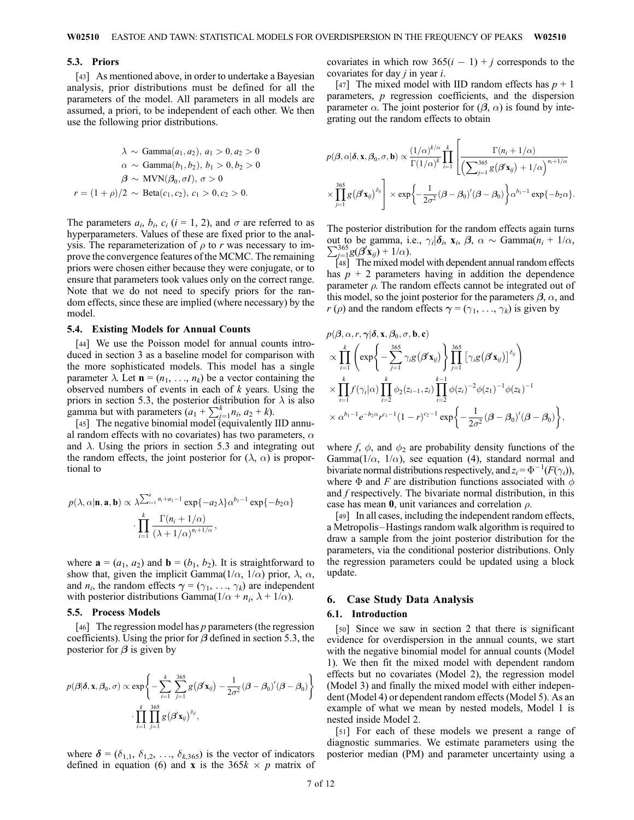#### 5.3. Priors

[43] As mentioned above, in order to undertake a Bayesian analysis, prior distributions must be defined for all the parameters of the model. All parameters in all models are assumed, a priori, to be independent of each other. We then use the following prior distributions.

$$
\lambda \sim \text{Gamma}(a_1, a_2), a_1 > 0, a_2 > 0
$$
  
\n
$$
\alpha \sim \text{Gamma}(b_1, b_2), b_1 > 0, b_2 > 0
$$
  
\n
$$
\beta \sim \text{MVN}(\beta_0, \sigma I), \sigma > 0
$$
  
\n
$$
f = (1 + \rho)/2 \sim \text{Beta}(c_1, c_2), c_1 > 0, c_2 > 0.
$$

The parameters  $a_i$ ,  $b_i$ ,  $c_i$  (i = 1, 2), and  $\sigma$  are referred to as hyperparameters. Values of these are fixed prior to the analysis. The reparameterization of  $\rho$  to r was necessary to improve the convergence features of the MCMC. The remaining priors were chosen either because they were conjugate, or to ensure that parameters took values only on the correct range. Note that we do not need to specify priors for the random effects, since these are implied (where necessary) by the model.

#### 5.4. Existing Models for Annual Counts

[44] We use the Poisson model for annual counts introduced in section 3 as a baseline model for comparison with the more sophisticated models. This model has a single parameter  $\lambda$ . Let  $\mathbf{n} = (n_1, \ldots, n_k)$  be a vector containing the observed numbers of events in each of  $k$  years. Using the priors in section 5.3, the posterior distribution for  $\lambda$  is also gamma but with parameters  $(a_1 + \sum_{j=1}^{k} n_i, a_2 + k)$ .

[45] The negative binomial model (equivalently IID annual random effects with no covariates) has two parameters,  $\alpha$ and  $\lambda$ . Using the priors in section 5.3 and integrating out the random effects, the joint posterior for  $(\lambda, \alpha)$  is proportional to

$$
p(\lambda, \alpha | \mathbf{n}, \mathbf{a}, \mathbf{b}) \propto \lambda^{\sum_{i=1}^{k} n_i + a_1 - 1} \exp\{-a_2 \lambda\} \alpha^{b_1 - 1} \exp\{-b_2 \alpha\}
$$

$$
\cdot \prod_{i=1}^{k} \frac{\Gamma(n_i + 1/\alpha)}{(\lambda + 1/\alpha)^{n_i + 1/\alpha}},
$$

where  $\mathbf{a} = (a_1, a_2)$  and  $\mathbf{b} = (b_1, b_2)$ . It is straightforward to show that, given the implicit Gamma $(1/\alpha, 1/\alpha)$  prior,  $\lambda$ ,  $\alpha$ , and  $n_i$ , the random effects  $\gamma = (\gamma_1, \ldots, \gamma_k)$  are independent with posterior distributions Gamma $(1/\alpha + n_i, \lambda + 1/\alpha)$ .

#### 5.5. Process Models

[46] The regression model has  $p$  parameters (the regression coefficients). Using the prior for  $\beta$  defined in section 5.3, the posterior for  $\beta$  is given by

$$
p(\boldsymbol{\beta}|\boldsymbol{\delta}, \mathbf{x}, \boldsymbol{\beta}_0, \sigma) \propto \exp\left\{-\sum_{i=1}^k \sum_{j=1}^{365} g(\boldsymbol{\beta}'\mathbf{x}_{ij}) - \frac{1}{2\sigma^2} (\boldsymbol{\beta} - \boldsymbol{\beta}_0)'(\boldsymbol{\beta} - \boldsymbol{\beta}_0)\right\}
$$

$$
\cdot \prod_{i=1}^k \prod_{j=1}^{365} g(\boldsymbol{\beta}'\mathbf{x}_{ij})^{\delta_{ij}},
$$

where  $\boldsymbol{\delta} = (\delta_{1,1}, \delta_{1,2}, \ldots, \delta_{k,365})$  is the vector of indicators defined in equation (6) and **x** is the  $365k \times p$  matrix of covariates in which row  $365(i - 1) + j$  corresponds to the covariates for day  $j$  in year  $i$ .

[47] The mixed model with IID random effects has  $p + 1$ parameters,  $p$  regression coefficients, and the dispersion parameter  $\alpha$ . The joint posterior for  $(\beta, \alpha)$  is found by integrating out the random effects to obtain

$$
p(\boldsymbol{\beta}, \alpha | \boldsymbol{\delta}, \mathbf{x}, \boldsymbol{\beta}_0, \sigma, \mathbf{b}) \propto \frac{(1/\alpha)^{k/\alpha}}{\Gamma(1/\alpha)^k} \prod_{i=1}^k \left[ \frac{\Gamma(n_i + 1/\alpha)}{\left(\sum_{j=1}^{365} g(\boldsymbol{\beta}'\mathbf{x}_{ij}) + 1/\alpha\right)^{n_i + 1/\alpha}} \right]
$$

$$
\times \prod_{j=1}^{365} g(\boldsymbol{\beta}'\mathbf{x}_{ij})^{\delta_{ij}} \right] \times \exp\left\{-\frac{1}{2\sigma^2}(\boldsymbol{\beta} - \boldsymbol{\beta}_0)'(\boldsymbol{\beta} - \boldsymbol{\beta}_0)\right\} \alpha^{b_1 - 1} \exp\{-b_2 \alpha\}.
$$

The posterior distribution for the random effects again turns out to be gamma, i.e.,  $\gamma_i|\delta_i, \mathbf{x}_i, \beta, \alpha \sim \text{Gamma}(n_i + 1/\alpha,$  $^{365}_{j=1}g(\beta' \mathbf{x}_{ij}) + 1/\alpha$ ).

[48] The mixed model with dependent annual random effects has  $p + 2$  parameters having in addition the dependence parameter  $\rho$ . The random effects cannot be integrated out of this model, so the joint posterior for the parameters  $\beta$ ,  $\alpha$ , and r ( $\rho$ ) and the random effects  $\gamma = (\gamma_1, \ldots, \gamma_k)$  is given by

$$
p(\boldsymbol{\beta}, \alpha, r, \boldsymbol{\gamma} | \boldsymbol{\delta}, \mathbf{x}, \boldsymbol{\beta}_0, \sigma, \mathbf{b}, \mathbf{c})
$$
  
\n
$$
\propto \prod_{i=1}^k \left( \exp \left\{ - \sum_{j=1}^{365} \gamma_i g(\boldsymbol{\beta}' \mathbf{x}_{ij}) \right\} \prod_{j=1}^{365} \left[ \gamma_i g(\boldsymbol{\beta}' \mathbf{x}_{ij}) \right]^{\delta_{ij}} \right)
$$
  
\n
$$
\times \prod_{i=1}^k f(\gamma_i | \alpha) \prod_{i=2}^k \phi_2(z_{i-1}, z_i) \prod_{i=2}^{k-1} \phi(z_i)^{-2} \phi(z_1)^{-1} \phi(z_k)^{-1}
$$
  
\n
$$
\times \alpha^{b_1-1} e^{-b_2 \alpha} r^{c_1-1} (1-r)^{c_2-1} \exp \left\{ - \frac{1}{2\sigma^2} (\boldsymbol{\beta} - \boldsymbol{\beta}_0)' (\boldsymbol{\beta} - \boldsymbol{\beta}_0) \right\},
$$

where f,  $\phi$ , and  $\phi_2$  are probability density functions of the Gamma( $1/\alpha$ ,  $1/\alpha$ ), see equation (4), standard normal and bivariate normal distributions respectively, and  $z_i = \Phi^{-1}(F(\gamma_i))$ , where  $\Phi$  and F are distribution functions associated with  $\phi$ and f respectively. The bivariate normal distribution, in this case has mean  $\mathbf{0}$ , unit variances and correlation  $\rho$ .

[49] In all cases, including the independent random effects, a Metropolis –Hastings random walk algorithm is required to draw a sample from the joint posterior distribution for the parameters, via the conditional posterior distributions. Only the regression parameters could be updated using a block update.

## 6. Case Study Data Analysis

## 6.1. Introduction

[50] Since we saw in section 2 that there is significant evidence for overdispersion in the annual counts, we start with the negative binomial model for annual counts (Model 1). We then fit the mixed model with dependent random effects but no covariates (Model 2), the regression model (Model 3) and finally the mixed model with either independent (Model 4) or dependent random effects (Model 5). As an example of what we mean by nested models, Model 1 is nested inside Model 2.

[51] For each of these models we present a range of diagnostic summaries. We estimate parameters using the posterior median (PM) and parameter uncertainty using a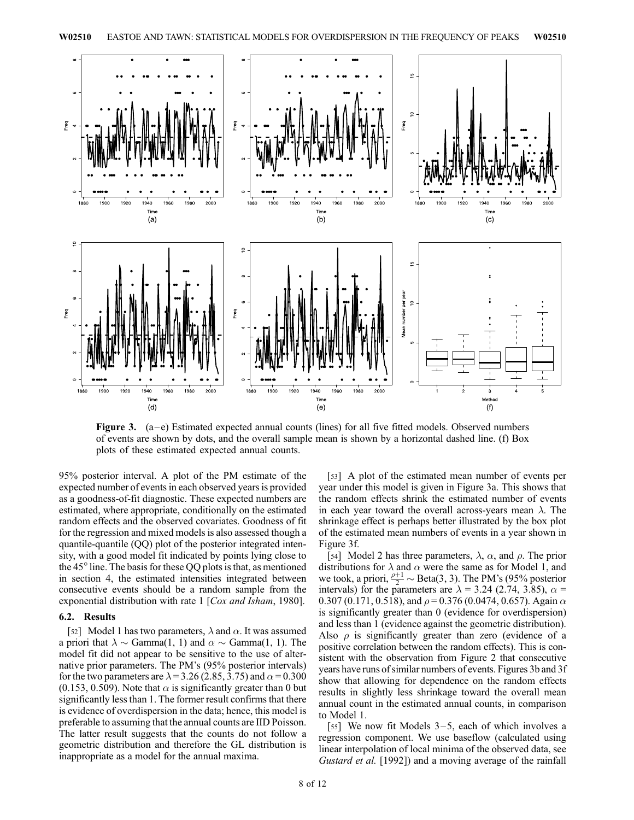

**Figure 3.**  $(a-e)$  Estimated expected annual counts (lines) for all five fitted models. Observed numbers of events are shown by dots, and the overall sample mean is shown by a horizontal dashed line. (f) Box plots of these estimated expected annual counts.

95% posterior interval. A plot of the PM estimate of the expected number of events in each observed years is provided as a goodness-of-fit diagnostic. These expected numbers are estimated, where appropriate, conditionally on the estimated random effects and the observed covariates. Goodness of fit for the regression and mixed models is also assessed though a quantile-quantile (QQ) plot of the posterior integrated intensity, with a good model fit indicated by points lying close to the 45<sup>°</sup> line. The basis for these QQ plots is that, as mentioned in section 4, the estimated intensities integrated between consecutive events should be a random sample from the exponential distribution with rate 1 [Cox and Isham, 1980].

## 6.2. Results

[52] Model 1 has two parameters,  $\lambda$  and  $\alpha$ . It was assumed a priori that  $\lambda \sim \text{Gamma}(1, 1)$  and  $\alpha \sim \text{Gamma}(1, 1)$ . The model fit did not appear to be sensitive to the use of alternative prior parameters. The PM's (95% posterior intervals) for the two parameters are  $\lambda = 3.26$  (2.85, 3.75) and  $\alpha = 0.300$  $(0.153, 0.509)$ . Note that  $\alpha$  is significantly greater than 0 but significantly less than 1. The former result confirms that there is evidence of overdispersion in the data; hence, this model is preferable to assuming that the annual counts are IID Poisson. The latter result suggests that the counts do not follow a geometric distribution and therefore the GL distribution is inappropriate as a model for the annual maxima.

[53] A plot of the estimated mean number of events per year under this model is given in Figure 3a. This shows that the random effects shrink the estimated number of events in each year toward the overall across-years mean  $\lambda$ . The shrinkage effect is perhaps better illustrated by the box plot of the estimated mean numbers of events in a year shown in Figure 3f.

[54] Model 2 has three parameters,  $\lambda$ ,  $\alpha$ , and  $\rho$ . The prior distributions for  $\lambda$  and  $\alpha$  were the same as for Model 1, and we took, a priori,  $\frac{\rho+1}{2}$   $\sim$  Beta(3, 3). The PM's (95% posterior intervals) for the parameters are  $\lambda = 3.24$  (2.74, 3.85),  $\alpha =$ 0.307 (0.171, 0.518), and  $\rho = 0.376$  (0.0474, 0.657). Again  $\alpha$ is significantly greater than 0 (evidence for overdispersion) and less than 1 (evidence against the geometric distribution). Also  $\rho$  is significantly greater than zero (evidence of a positive correlation between the random effects). This is consistent with the observation from Figure 2 that consecutive years have runs of similar numbers of events. Figures 3b and 3f show that allowing for dependence on the random effects results in slightly less shrinkage toward the overall mean annual count in the estimated annual counts, in comparison to Model 1.

[55] We now fit Models  $3-5$ , each of which involves a regression component. We use baseflow (calculated using linear interpolation of local minima of the observed data, see Gustard et al. [1992]) and a moving average of the rainfall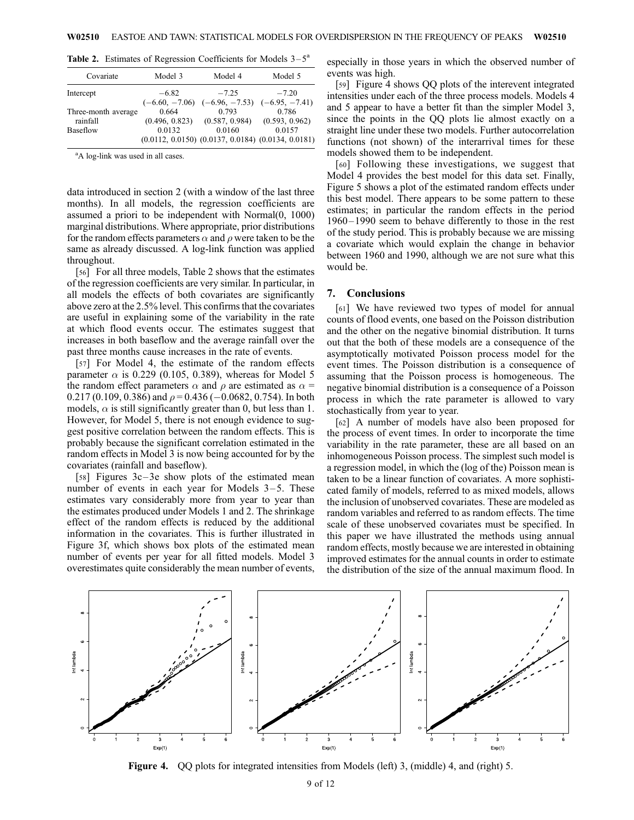**Table 2.** Estimates of Regression Coefficients for Models  $3-5^a$ 

| Covariate           | Model 3 | Model 4                                                  | Model 5        |
|---------------------|---------|----------------------------------------------------------|----------------|
| Intercept           | $-6.82$ | $-725$                                                   | $-7.20$        |
|                     |         | $(-6.60, -7.06)$ $(-6.96, -7.53)$ $(-6.95, -7.41)$       |                |
| Three-month average | 0.664   | 0.793                                                    | 0.786          |
| rainfall            |         | $(0.496, 0.823)$ $(0.587, 0.984)$                        | (0.593, 0.962) |
| Baseflow            | 0.0132  | 0.0160                                                   | 0.0157         |
|                     |         | $(0.0112, 0.0150)$ $(0.0137, 0.0184)$ $(0.0134, 0.0181)$ |                |

<sup>a</sup>A log-link was used in all cases.

data introduced in section 2 (with a window of the last three months). In all models, the regression coefficients are assumed a priori to be independent with Normal(0, 1000) marginal distributions. Where appropriate, prior distributions for the random effects parameters  $\alpha$  and  $\rho$  were taken to be the same as already discussed. A log-link function was applied throughout.

[56] For all three models, Table 2 shows that the estimates of the regression coefficients are very similar. In particular, in all models the effects of both covariates are significantly above zero at the 2.5% level. This confirms that the covariates are useful in explaining some of the variability in the rate at which flood events occur. The estimates suggest that increases in both baseflow and the average rainfall over the past three months cause increases in the rate of events.

[57] For Model 4, the estimate of the random effects parameter  $\alpha$  is 0.229 (0.105, 0.389), whereas for Model 5 the random effect parameters  $\alpha$  and  $\rho$  are estimated as  $\alpha$  = 0.217 (0.109, 0.386) and  $\rho = 0.436 (-0.0682, 0.754)$ . In both models,  $\alpha$  is still significantly greater than 0, but less than 1. However, for Model 5, there is not enough evidence to suggest positive correlation between the random effects. This is probably because the significant correlation estimated in the random effects in Model 3 is now being accounted for by the covariates (rainfall and baseflow).

[58] Figures 3c-3e show plots of the estimated mean number of events in each year for Models  $3-5$ . These estimates vary considerably more from year to year than the estimates produced under Models 1 and 2. The shrinkage effect of the random effects is reduced by the additional information in the covariates. This is further illustrated in Figure 3f, which shows box plots of the estimated mean number of events per year for all fitted models. Model 3 overestimates quite considerably the mean number of events,

especially in those years in which the observed number of events was high.

[59] Figure 4 shows QQ plots of the interevent integrated intensities under each of the three process models. Models 4 and 5 appear to have a better fit than the simpler Model 3, since the points in the QQ plots lie almost exactly on a straight line under these two models. Further autocorrelation functions (not shown) of the interarrival times for these models showed them to be independent.

[60] Following these investigations, we suggest that Model 4 provides the best model for this data set. Finally, Figure 5 shows a plot of the estimated random effects under this best model. There appears to be some pattern to these estimates; in particular the random effects in the period 1960 – 1990 seem to behave differently to those in the rest of the study period. This is probably because we are missing a covariate which would explain the change in behavior between 1960 and 1990, although we are not sure what this would be.

## 7. Conclusions

[61] We have reviewed two types of model for annual counts of flood events, one based on the Poisson distribution and the other on the negative binomial distribution. It turns out that the both of these models are a consequence of the asymptotically motivated Poisson process model for the event times. The Poisson distribution is a consequence of assuming that the Poisson process is homogeneous. The negative binomial distribution is a consequence of a Poisson process in which the rate parameter is allowed to vary stochastically from year to year.

[62] A number of models have also been proposed for the process of event times. In order to incorporate the time variability in the rate parameter, these are all based on an inhomogeneous Poisson process. The simplest such model is a regression model, in which the (log of the) Poisson mean is taken to be a linear function of covariates. A more sophisticated family of models, referred to as mixed models, allows the inclusion of unobserved covariates. These are modeled as random variables and referred to as random effects. The time scale of these unobserved covariates must be specified. In this paper we have illustrated the methods using annual random effects, mostly because we are interested in obtaining improved estimates for the annual counts in order to estimate the distribution of the size of the annual maximum flood. In



Figure 4. QQ plots for integrated intensities from Models (left) 3, (middle) 4, and (right) 5.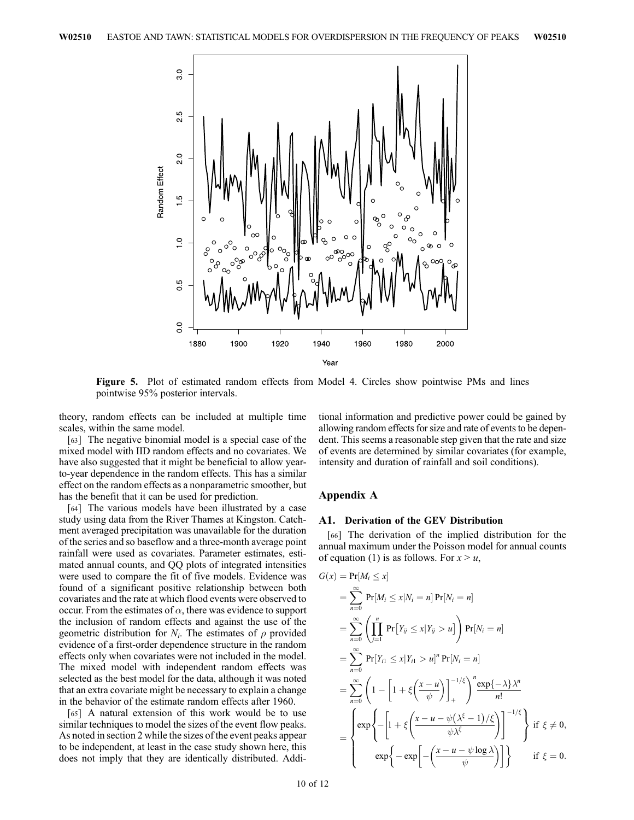

Figure 5. Plot of estimated random effects from Model 4. Circles show pointwise PMs and lines pointwise 95% posterior intervals.

theory, random effects can be included at multiple time scales, within the same model.

[63] The negative binomial model is a special case of the mixed model with IID random effects and no covariates. We have also suggested that it might be beneficial to allow yearto-year dependence in the random effects. This has a similar effect on the random effects as a nonparametric smoother, but has the benefit that it can be used for prediction.

[64] The various models have been illustrated by a case study using data from the River Thames at Kingston. Catchment averaged precipitation was unavailable for the duration of the series and so baseflow and a three-month average point rainfall were used as covariates. Parameter estimates, estimated annual counts, and QQ plots of integrated intensities were used to compare the fit of five models. Evidence was found of a significant positive relationship between both covariates and the rate at which flood events were observed to occur. From the estimates of  $\alpha$ , there was evidence to support the inclusion of random effects and against the use of the geometric distribution for  $N_i$ . The estimates of  $\rho$  provided evidence of a first-order dependence structure in the random effects only when covariates were not included in the model. The mixed model with independent random effects was selected as the best model for the data, although it was noted that an extra covariate might be necessary to explain a change in the behavior of the estimate random effects after 1960.

[65] A natural extension of this work would be to use similar techniques to model the sizes of the event flow peaks. As noted in section 2 while the sizes of the event peaks appear to be independent, at least in the case study shown here, this does not imply that they are identically distributed. Additional information and predictive power could be gained by allowing random effects for size and rate of events to be dependent. This seems a reasonable step given that the rate and size of events are determined by similar covariates (for example, intensity and duration of rainfall and soil conditions).

## Appendix A

### A1. Derivation of the GEV Distribution

[66] The derivation of the implied distribution for the annual maximum under the Poisson model for annual counts of equation (1) is as follows. For  $x > u$ ,

$$
G(x) = \Pr[M_i \le x]
$$
  
\n
$$
= \sum_{n=0}^{\infty} \Pr[M_i \le x | N_i = n] \Pr[N_i = n]
$$
  
\n
$$
= \sum_{n=0}^{\infty} \left( \prod_{j=1}^{n} \Pr[Y_{ij} \le x | Y_{ij} > u] \right) \Pr[N_i = n]
$$
  
\n
$$
= \sum_{n=0}^{\infty} \Pr[Y_{i1} \le x | Y_{i1} > u]^n \Pr[N_i = n]
$$
  
\n
$$
= \sum_{n=0}^{\infty} \left( 1 - \left[ 1 + \xi \left( \frac{x - u}{\psi} \right) \right]_{+}^{-1/\xi} \right) \frac{\exp\{-\lambda\} \lambda^n}{n!}
$$
  
\n
$$
= \left\{ \exp\left\{-\left[ 1 + \xi \left( \frac{x - u - \psi(\lambda^{\xi} - 1)/\xi}{\psi \lambda^{\xi}} \right) \right] \right\}^{-1/\xi} \right\} \text{ if } \xi \ne 0,
$$
  
\n
$$
\exp\left\{-\exp\left[ -\left( \frac{x - u - \psi \log \lambda}{\psi} \right) \right] \right\} \text{ if } \xi = 0.
$$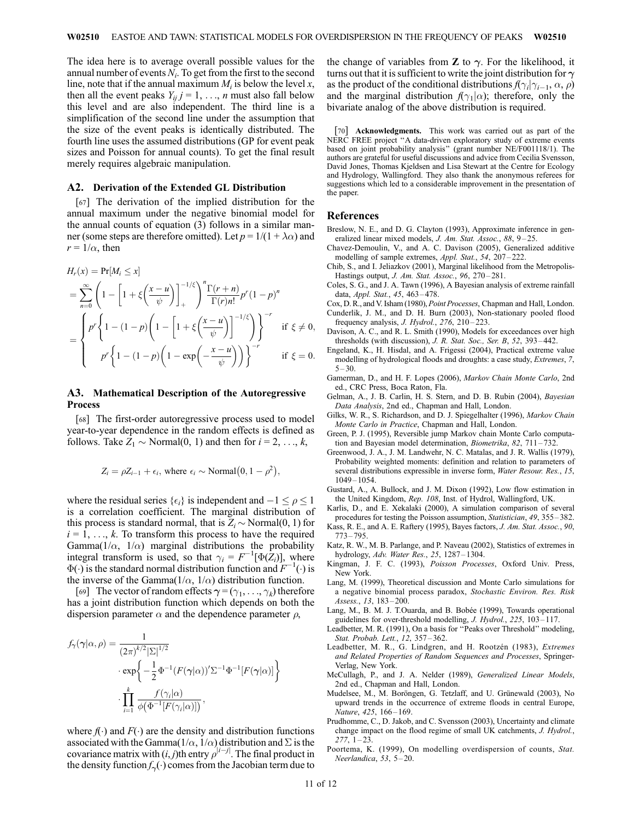The idea here is to average overall possible values for the annual number of events  $N_i$ . To get from the first to the second line, note that if the annual maximum  $M_i$  is below the level x, then all the event peaks  $Y_{ij}$  j = 1, ..., *n* must also fall below this level and are also independent. The third line is a simplification of the second line under the assumption that the size of the event peaks is identically distributed. The fourth line uses the assumed distributions (GP for event peak sizes and Poisson for annual counts). To get the final result merely requires algebraic manipulation.

#### A2. Derivation of the Extended GL Distribution

[67] The derivation of the implied distribution for the annual maximum under the negative binomial model for the annual counts of equation (3) follows in a similar manner (some steps are therefore omitted). Let  $p = 1/(1 + \lambda \alpha)$  and  $r = 1/\alpha$ , then

$$
H_r(x) = \Pr[M_i \le x]
$$
  
= 
$$
\sum_{n=0}^{\infty} \left( 1 - \left[ 1 + \xi \left( \frac{x - u}{\psi} \right) \right]_+^{-1/\xi} \right)^n \frac{\Gamma(r + n)}{\Gamma(r) n!} p^r (1 - p)^n
$$
  
= 
$$
\left\{ p^r \left\{ 1 - (1 - p) \left( 1 - \left[ 1 + \xi \left( \frac{x - u}{\psi} \right) \right]^{-1/\xi} \right) \right\}^{-r} \text{ if } \xi \neq 0,
$$
  

$$
p^r \left\{ 1 - (1 - p) \left( 1 - \exp \left( -\frac{x - u}{\psi} \right) \right) \right\}^{-r} \text{ if } \xi = 0.
$$

## A3. Mathematical Description of the Autoregressive Process

[68] The first-order autoregressive process used to model year-to-year dependence in the random effects is defined as follows. Take  $Z_1 \sim \text{Normal}(0, 1)$  and then for  $i = 2, \ldots, k$ ,

$$
Z_i = \rho Z_{i-1} + \epsilon_i
$$
, where  $\epsilon_i \sim \text{Normal}(0, 1 - \rho^2)$ ,

where the residual series  $\{\epsilon_i\}$  is independent and  $-1 \leq \rho \leq 1$ is a correlation coefficient. The marginal distribution of this process is standard normal, that is  $Z_i \sim \text{Normal}(0, 1)$  for  $i = 1, \ldots, k$ . To transform this process to have the required Gamma( $1/\alpha$ ,  $1/\alpha$ ) marginal distributions the probability integral transform is used, so that  $\gamma_i = F^{-1}[\Phi(Z_i)],$  where  $\Phi(\cdot)$  is the standard normal distribution function and  $F^{-1}(\cdot)$  is the inverse of the Gamma $(1/\alpha, 1/\alpha)$  distribution function.

[69] The vector of random effects  $\gamma = (\gamma_1, \ldots, \gamma_k)$  therefore has a joint distribution function which depends on both the dispersion parameter  $\alpha$  and the dependence parameter  $\rho$ ,

$$
f_{\gamma}(\gamma|\alpha,\rho) = \frac{1}{(2\pi)^{k/2}|\Sigma|^{1/2}} \cdot \exp\left\{-\frac{1}{2}\Phi^{-1}(F(\gamma|\alpha))'\Sigma^{-1}\Phi^{-1}[F(\gamma|\alpha)]\right\}
$$

$$
\cdot \prod_{i=1}^{k} \frac{f(\gamma_i|\alpha)}{\phi(\Phi^{-1}[F(\gamma_i|\alpha)])},
$$

where  $f(\cdot)$  and  $F(\cdot)$  are the density and distribution functions associated with the Gamma $(1/\alpha, 1/\alpha)$  distribution and  $\Sigma$  is the covariance matrix with  $(i, j)$ th entry  $\rho^{|i-j|}$ . The final product in the density function  $f_{\gamma}(\cdot)$  comes from the Jacobian term due to

the change of variables from **Z** to  $\gamma$ . For the likelihood, it turns out that it is sufficient to write the joint distribution for  $\gamma$ as the product of the conditional distributions  $f(\gamma_i|\gamma_{i-1}, \alpha, \rho)$ and the marginal distribution  $f(\gamma_1|\alpha)$ ; therefore, only the bivariate analog of the above distribution is required.

[70] Acknowledgments. This work was carried out as part of the NERC FREE project ''A data-driven exploratory study of extreme events based on joint probability analysis'' (grant number NE/F001118/1). The authors are grateful for useful discussions and advice from Cecilia Svensson, David Jones, Thomas Kjeldsen and Lisa Stewart at the Centre for Ecology and Hydrology, Wallingford. They also thank the anonymous referees for suggestions which led to a considerable improvement in the presentation of the paper.

## References

- Breslow, N. E., and D. G. Clayton (1993), Approximate inference in generalized linear mixed models, J. Am. Stat. Assoc., 88, 9-25.
- Chavez-Demoulin, V., and A. C. Davison (2005), Generalized additive modelling of sample extremes, Appl. Stat., 54, 207 – 222.
- Chib, S., and I. Jeliazkov (2001), Marginal likelihood from the Metropolis-Hastings output, *J. Am. Stat. Assoc.*, 96, 270-281.
- Coles, S. G., and J. A. Tawn (1996), A Bayesian analysis of extreme rainfall data, Appl. Stat., 45, 463-478.
- Cox, D. R., and V. Isham (1980), Point Processes, Chapman and Hall, London. Cunderlik, J. M., and D. H. Burn (2003), Non-stationary pooled flood frequency analysis, *J. Hydrol.*, 276, 210-223.
- Davison, A. C., and R. L. Smith (1990), Models for exceedances over high thresholds (with discussion), J. R. Stat. Soc., Ser. B, 52, 393-442.
- Engeland, K., H. Hisdal, and A. Frigessi (2004), Practical extreme value modelling of hydrological floods and droughts: a case study, Extremes, 7,  $5 - 30.$
- Gamerman, D., and H. F. Lopes (2006), Markov Chain Monte Carlo, 2nd ed., CRC Press, Boca Raton, Fla.
- Gelman, A., J. B. Carlin, H. S. Stern, and D. B. Rubin (2004), Bayesian Data Analysis, 2nd ed., Chapman and Hall, London.
- Gilks, W. R., S. Richardson, and D. J. Spiegelhalter (1996), Markov Chain Monte Carlo in Practice, Chapman and Hall, London.
- Green, P. J. (1995), Reversible jump Markov chain Monte Carlo computation and Bayesian model determination, *Biometrika*, 82, 711-732.
- Greenwood, J. A., J. M. Landwehr, N. C. Matalas, and J. R. Wallis (1979), Probability weighted moments: definition and relation to parameters of several distributions expressible in inverse form, Water Resour. Res., 15, 1049 – 1054.
- Gustard, A., A. Bullock, and J. M. Dixon (1992), Low flow estimation in the United Kingdom, Rep. 108, Inst. of Hydrol, Wallingford, UK.
- Karlis, D., and E. Xekalaki (2000), A simulation comparison of several procedures for testing the Poisson assumption, Statistician, 49, 355 – 382. Kass, R. E., and A. E. Raftery (1995), Bayes factors, J. Am. Stat. Assoc., 90,
- 773 795.
- Katz, R. W., M. B. Parlange, and P. Naveau (2002), Statistics of extremes in hydrology, Adv. Water Res., 25, 1287 – 1304.
- Kingman, J. F. C. (1993), Poisson Processes, Oxford Univ. Press, New York.
- Lang, M. (1999), Theoretical discussion and Monte Carlo simulations for a negative binomial process paradox, Stochastic Environ. Res. Risk Assess., 13, 183-200.
- Lang, M., B. M. J. T.Ouarda, and B. Bobée (1999), Towards operational guidelines for over-threshold modelling, J. Hydrol., 225, 103-117.
- Leadbetter, M. R. (1991), On a basis for ''Peaks over Threshold'' modeling, Stat. Probab. Lett., 12, 357 – 362.
- Leadbetter, M. R., G. Lindgren, and H. Rootzén (1983), Extremes and Related Properties of Random Sequences and Processes, Springer-Verlag, New York.
- McCullagh, P., and J. A. Nelder (1989), Generalized Linear Models, 2nd ed., Chapman and Hall, London.
- Mudelsee, M., M. Boröngen, G. Tetzlaff, and U. Grünewald (2003), No upward trends in the occurrence of extreme floods in central Europe, Nature, 425, 166-169.
- Prudhomme, C., D. Jakob, and C. Svensson (2003), Uncertainty and climate change impact on the flood regime of small UK catchments, *J. Hydrol.*,  $277, 1 - 23.$
- Poortema, K. (1999), On modelling overdispersion of counts, Stat. Neerlandica, 53,  $5-20$ .